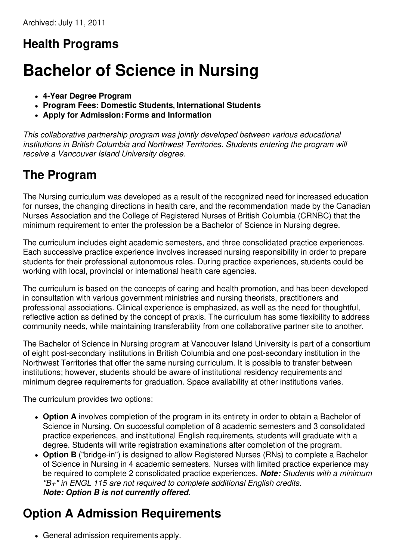## **Health Programs**

# **Bachelor of Science in Nursing**

- **4-Year Degree Program**
- **Program Fees: Domestic Students, International Students**
- **Apply for Admission:Forms and Information**

*This collaborative partnership program was jointly developed between various educational institutions in British Columbia and Northwest Territories. Students entering the program will receive a Vancouver Island University degree.*

## **The Program**

The Nursing curriculum was developed as a result of the recognized need for increased education for nurses, the changing directions in health care, and the recommendation made by the Canadian Nurses Association and the College of Registered Nurses of British Columbia (CRNBC) that the minimum requirement to enter the profession be a Bachelor of Science in Nursing degree.

The curriculum includes eight academic semesters, and three consolidated practice experiences. Each successive practice experience involves increased nursing responsibility in order to prepare students for their professional autonomous roles. During practice experiences, students could be working with local, provincial or international health care agencies.

The curriculum is based on the concepts of caring and health promotion, and has been developed in consultation with various government ministries and nursing theorists, practitioners and professional associations. Clinical experience is emphasized, as well as the need for thoughtful, reflective action as defined by the concept of praxis. The curriculum has some flexibility to address community needs, while maintaining transferability from one collaborative partner site to another.

The Bachelor of Science in Nursing program at Vancouver Island University is part of a consortium of eight post-secondary institutions in British Columbia and one post-secondary institution in the Northwest Territories that offer the same nursing curriculum. It is possible to transfer between institutions; however, students should be aware of institutional residency requirements and minimum degree requirements for graduation. Space availability at other institutions varies.

The curriculum provides two options:

- **Option A** involves completion of the program in its entirety in order to obtain a Bachelor of Science in Nursing. On successful completion of 8 academic semesters and 3 consolidated practice experiences, and institutional English requirements, students will graduate with a degree. Students will write registration examinations after completion of the program.
- **Option B** ("bridge-in") is designed to allow Registered Nurses (RNs) to complete a Bachelor of Science in Nursing in 4 academic semesters. Nurses with limited practice experience may be required to complete 2 consolidated practice experiences. *Note: Students with a minimum "B+" in ENGL 115 are not required to complete additional English credits. Note: Option B is not currently offered.*

# **Option A Admission Requirements**

• General admission requirements apply.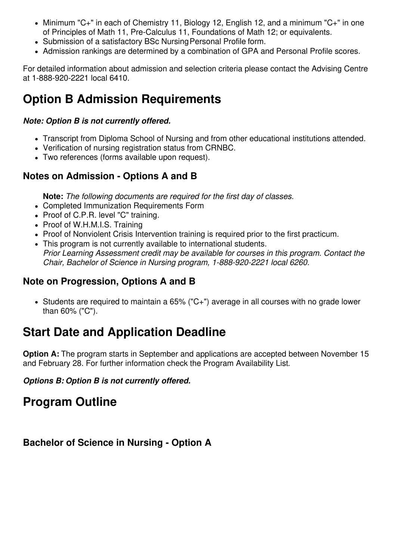- Minimum "C+" in each of Chemistry 11, Biology 12, English 12, and a minimum "C+" in one of Principles of Math 11, Pre-Calculus 11, Foundations of Math 12; or equivalents.
- Submission of a satisfactory BSc Nursing Personal Profile form.
- Admission rankings are determined by a combination of GPA and Personal Profile scores.

For detailed information about admission and selection criteria please contact the Advising Centre at 1-888-920-2221 local 6410.

## **Option B Admission Requirements**

#### *Note: Option B is not currently offered.*

- Transcript from Diploma School of Nursing and from other educational institutions attended.
- Verification of nursing registration status from CRNBC.
- Two references (forms available upon request).

### **Notes on Admission - Options A and B**

**Note:** *The following documents are required for the first day of classes.*

- Completed Immunization Requirements Form
- Proof of C.P.R. level "C" training.
- Proof of W.H.M.I.S. Training
- Proof of Nonviolent Crisis Intervention training is required prior to the first practicum.
- This program is not currently available to international students. *Prior Learning Assessment credit may be available for courses in this program. Contact the Chair, Bachelor of Science in Nursing program, 1-888-920-2221 local 6260.*

### **Note on Progression, Options A and B**

Students are required to maintain a 65% ("C+") average in all courses with no grade lower than 60% ("C").

### **Start Date and Application Deadline**

**Option A:** The program starts in September and applications are accepted between November 15 and February 28. For further information check the Program Availability List.

*Options B: Option B is not currently offered.*

### **Program Outline**

**Bachelor of Science in Nursing - Option A**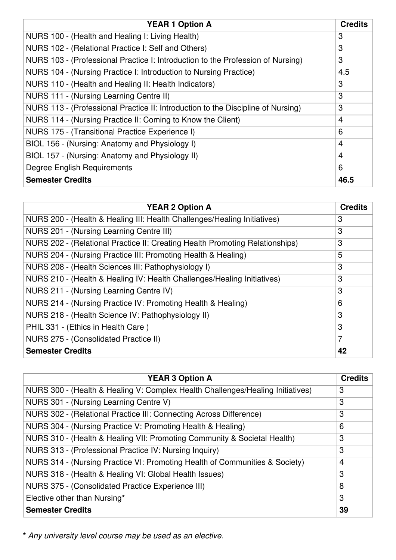| <b>YEAR 1 Option A</b>                                                           | <b>Credits</b> |
|----------------------------------------------------------------------------------|----------------|
| NURS 100 - (Health and Healing I: Living Health)                                 | 3              |
| NURS 102 - (Relational Practice I: Self and Others)                              | 3              |
| NURS 103 - (Professional Practice I: Introduction to the Profession of Nursing)  | 3              |
| NURS 104 - (Nursing Practice I: Introduction to Nursing Practice)                | 4.5            |
| NURS 110 - (Health and Healing II: Health Indicators)                            | 3              |
| NURS 111 - (Nursing Learning Centre II)                                          | 3              |
| NURS 113 - (Professional Practice II: Introduction to the Discipline of Nursing) | 3              |
| NURS 114 - (Nursing Practice II: Coming to Know the Client)                      | 4              |
| NURS 175 - (Transitional Practice Experience I)                                  | 6              |
| BIOL 156 - (Nursing: Anatomy and Physiology I)                                   | $\overline{4}$ |
| BIOL 157 - (Nursing: Anatomy and Physiology II)                                  | 4              |
| Degree English Requirements                                                      | 6              |
| <b>Semester Credits</b>                                                          | 46.5           |

| <b>YEAR 2 Option A</b>                                                       | <b>Credits</b> |
|------------------------------------------------------------------------------|----------------|
| NURS 200 - (Health & Healing III: Health Challenges/Healing Initiatives)     | 3              |
| NURS 201 - (Nursing Learning Centre III)                                     | 3              |
| NURS 202 - (Relational Practice II: Creating Health Promoting Relationships) | 3              |
| NURS 204 - (Nursing Practice III: Promoting Health & Healing)                | 5              |
| NURS 208 - (Health Sciences III: Pathophysiology I)                          | 3              |
| NURS 210 - (Health & Healing IV: Health Challenges/Healing Initiatives)      | 3              |
| NURS 211 - (Nursing Learning Centre IV)                                      | 3              |
| NURS 214 - (Nursing Practice IV: Promoting Health & Healing)                 | 6              |
| NURS 218 - (Health Science IV: Pathophysiology II)                           | 3              |
| PHIL 331 - (Ethics in Health Care)                                           | 3              |
| NURS 275 - (Consolidated Practice II)                                        | $\overline{7}$ |
| <b>Semester Credits</b>                                                      | 42             |

| <b>YEAR 3 Option A</b>                                                         | <b>Credits</b> |
|--------------------------------------------------------------------------------|----------------|
| NURS 300 - (Health & Healing V: Complex Health Challenges/Healing Initiatives) | 3              |
| NURS 301 - (Nursing Learning Centre V)                                         | 3              |
| NURS 302 - (Relational Practice III: Connecting Across Difference)             | 3              |
| NURS 304 - (Nursing Practice V: Promoting Health & Healing)                    | 6              |
| NURS 310 - (Health & Healing VII: Promoting Community & Societal Health)       | 3              |
| NURS 313 - (Professional Practice IV: Nursing Inquiry)                         | 3              |
| NURS 314 - (Nursing Practice VI: Promoting Health of Communities & Society)    | 4              |
| NURS 318 - (Health & Healing VI: Global Health Issues)                         | 3              |
| NURS 375 - (Consolidated Practice Experience III)                              | 8              |
| Elective other than Nursing*                                                   | 3              |
| <b>Semester Credits</b>                                                        | 39             |

**\*** *Any university level course may be used as an elective.*